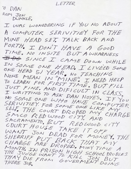LETTER

O DAN ROM JON<br>DUNKLE.

I WAS WONEDERING IF YOU NO ABOUT A COMPUTER SERIVITIEY FOR THE MINE HEAD SET. TALK BACK AND FORTH. I DON'T HAVE A GOOD TIME. NO INSITE BUT AWHARNESS IDO SINCE I CAME DOWN WHILE IN SOME ONE HEAD. I LIVEED SOME ONE HEAD 51 YEAR, NO TEACHING<br>NONE MEAN IN "MINE" I NEED HELP TO LEARN FOR FIRST TIME. BUT FILL JUST FINE. AND DIFICULT IN CLASS. I WRITTING TO ASK DAN NOYES. IF YOU NO SOME ONE LUHO HAVE COMPUTER SERIVITIEY FOR SOME ONE LIKE MY SELF. THE COURT DROPED MY CHARGE SMICO REDWOOD CITY AND SACRAMENTO. BUT REDLUOOD CITY COURT HOUSE TAKE IT OFF WANT JON DEAD FOR MONEY. THE SHERRIFF PUT BACK THAT MY CHARGE ARE DROPED. MINY TIME A MONTH, IN PRISON HIGH SCHOOL PROBLES<br>THAY DIE FROM GOVERNENT DOING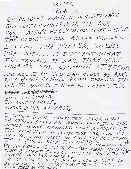LETTER

PAGE 2

YOU PROBLEY WANT TO INVESTIGATE JON SCOTT DUNKLE. PSA 911 ASK FOR JASSIEY HOLLYWOOD. COURT ORDER. IM NOT THE KILLER. INLESS PSA WRITTEN IT DIFT NOT WHAT. IM TRYING TO SAY. THAY GET THEAT"S AND CHANGE ST BEFOR. FOR ALL I NO YOU DAN COULD BE PART WHITE HOUSE. I HOPE NOT. OTHER I.D. CANDE A4+ DONALE LINE 171 DUNKLE JON SCOTT DUNKLE. WORLD DMV ATTLESS.

I LOOKING FOR COMPUTER GOVERMENT OR STATE. PRIVET NO GOOD. WHY IM THE WORLD OWNER PLANNING COMMISHERDER OF THE WORLD. COME TO LIFE THIS WAY, LINE 171 TELL YOU THAT THERE NO MORE CROPDUSTING IF I CHOOSE DIFT IN DEAD "QUL USE UP" BY ANY ONE. 45 OR 46 MILLON YEAR IN LETTER THAT A THEAT BY WDC WHITE HOUSE ONLY DINVER IDHIO HARE CODE BOOK. THE THEAT IS TO KEEP JON DUNKLE BISSIEY TO OWN THEIE GOVERNIENT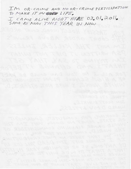IM OR-CRIME AND NO OR-CRIME PERTISEPATION. TO MAKE IT IN COOLED LIFE.

I CAME ALIVE RIGHT HERE 03.01.2011. SAME AS NOW THIS YEAR IN NOW

I'M MOT DIE KILLER IN MESS

PSA WRITTEN IT DIET NOT WIHAT

LAS YAHT YAZ OT EMIYST MAL

THEAT'S AMD CHANGE IT BEFO

FORR 38 always und wat out 2 15A 207

OF A RIGH SCHOOL PLANT THROUGH TA

WHITE ANDERS I NOTE NOT BRUNER IT, I

I LOOKING FOR COMPUTER GOVERNMENT

WORLD DAMER PLANNING ROMMORHERDER OF

THE Water of the space and the United States

BY ANY ONE. 45 02 98 MULLEN YEAR IN UNITED

THEAT IS TO KELP JOIN DUNKLE BISSIE'S TO

**CONTRACTOR** ACTIVITY

WORLD DINN ATTLESS

LINE ITI DUNKER

JASSIEY HOLLY WOOD, COURT ORDE

COURT DROIR ABOVE PROJECT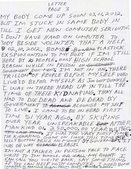LETTER PAGE 3

MY BODY COME UP SOON 03.01.2012. BUT IM STUCK IN SAME BODY IN TILL I GET NEW COMPUTER SERIVITIES I DON'T HAVE HAND ON COMPUTER TO SODY BESIDE VOLINTER THAT A HELP 8 OZ.10.2012. BOMBO BONBARPLASTICK EXSPIOZONTION TO MY BODY IF IM STILL HERE BY 10 PEOPLE. ONLY HIGH SCHOOL REASON WHILE IN PRISON ON GOVERNENT<br>GOVERNENT DOCTMENT IM NOT IN ON. THERE<br>TRILLON<sup>60</sup>OF PEOPLE BEFOR MY SELF WHO LIVE'ED BEFOR MY SELF AS JON SCOTT DUNKLE. I WAS IN THERE HEAD UP IN TILL THE TIME OF THEIE KIDNAPING. THAY ALL HAD TO DIE DEAD AND BE DEAD BY GOVERNIENT TO ALONGE ALOUNGE MY SELF TO LIVE. I CAME TO BE IN HEAD FIRST TIME 51 YEAR AGO, BY SKIPING OVER YEAR UNSPEAKABLE BER AFTHER MANKIND OI. 250,000.00 YEAR 1011,1960.<br>THE KIDNAPING GONE ON SINCE THIS TIME. WAS OH WAY <del>ELEAGAL</del> ELEAGEL IM NOT ATALKER IN PERSON FACE TO FACE WRITE TO JON DUNKLE. OR CALL MAY RIGHT I EAN CALL YOU, WRITE BACK, SAY SOMETHING IF YOU CAN HELP WITH COMPUTER INEED BOMB<br>COMPUTER TO REAMOVE BOBIN FROM BODY, VOLINTER PLEASE.